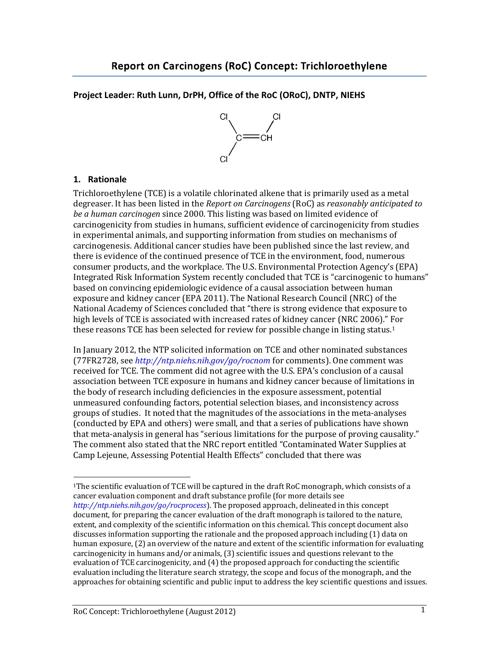#### **Project Leader: Ruth Lunn, DrPH, Office of the RoC (ORoC), DNTP, NIEHS**



#### **1. Rationale**

 $\overline{\phantom{a}}$ 

Trichloroethylene (TCE) is a volatile chlorinated alkene that is primarily used as a metal degreaser. It has been listed in the *Report on Carcinogens* (RoC) as *reasonably anticipated to be a human carcinogen* since 2000. This listing was based on limited evidence of carcinogenicity from studies in humans, sufficient evidence of carcinogenicity from studies in experimental animals, and supporting information from studies on mechanisms of carcinogenesis. Additional cancer studies have been published since the last review, and there is evidence of the continued presence of TCE in the environment, food, numerous consumer products, and the workplace. The U.S. Environmental Protection Agency's (EPA) Integrated Risk Information System recently concluded that TCE is "carcinogenic to humans" based on convincing epidemiologic evidence of a causal association between human exposure and kidney cancer (EPA 2011). The National Research Council (NRC) of the National Academy of Sciences concluded that "there is strong evidence that exposure to high levels of TCE is associated with increased rates of kidney cancer (NRC 2006)." For these reasons TCE has been selected for review for possible change in listing status.<sup>1</sup>

In January 2012, the NTP solicited information on TCE and other nominated substances (77FR2728, see *<http://ntp.niehs.nih.gov/go/rocnom>* for comments). One comment was received for TCE. The comment did not agree with the U.S. EPA's conclusion of a causal association between TCE exposure in humans and kidney cancer because of limitations in the body of research including deficiencies in the exposure assessment, potential unmeasured confounding factors, potential selection biases, and inconsistency across groups of studies. It noted that the magnitudes of the associations in the meta-analyses (conducted by EPA and others) were small, and that a series of publications have shown that meta-analysis in general has "serious limitations for the purpose of proving causality." The comment also stated that the NRC report entitled "Contaminated Water Supplies at Camp Lejeune, Assessing Potential Health Effects" concluded that there was

<sup>1</sup>The scientific evaluation of TCE will be captured in the draft RoC monograph, which consists of a cancer evaluation component and draft substance profile (for more details see *<http://ntp.niehs.nih.gov/go/rocprocess>*). The proposed approach, delineated in this concept document, for preparing the cancer evaluation of the draft monograph is tailored to the nature, extent, and complexity of the scientific information on this chemical. This concept document also discusses information supporting the rationale and the proposed approach including (1) data on human exposure, (2) an overview of the nature and extent of the scientific information for evaluating carcinogenicity in humans and/or animals, (3) scientific issues and questions relevant to the evaluation of TCE carcinogenicity, and (4) the proposed approach for conducting the scientific evaluation including the literature search strategy, the scope and focus of the monograph, and the approaches for obtaining scientific and public input to address the key scientific questions and issues.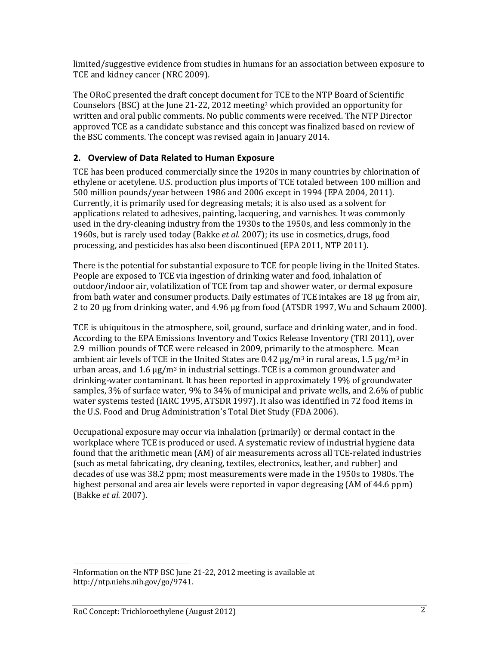limited/suggestive evidence from studies in humans for an association between exposure to TCE and kidney cancer (NRC 2009).

The ORoC presented the draft concept document for TCE to the NTP Board of Scientific Counselors (BSC) at the June 21-22, 2012 meeting<sup>2</sup> which provided an opportunity for written and oral public comments. No public comments were received. The NTP Director approved TCE as a candidate substance and this concept was finalized based on review of the BSC comments. The concept was revised again in January 2014.

## **2. Overview of Data Related to Human Exposure**

TCE has been produced commercially since the 1920s in many countries by chlorination of ethylene or acetylene. U.S. production plus imports of TCE totaled between 100 million and 500 million pounds/year between 1986 and 2006 except in 1994 [\(EPA 2004,](#page-7-0) 2011). Currently, it is primarily used for degreasing metals; it is also used as a solvent for applications related to adhesives, painting, lacquering, and varnishes. It was commonly used in the dry-cleaning industry from the 1930s to the 1950s, and less commonly in the 1960s, but is rarely used today (Bakke *et al.* 2007); its use in cosmetics, drugs, food processing, and pesticides has also been discontinued (EPA 2011, NTP 2011).

There is the potential for substantial exposure to TCE for people living in the United States. People are exposed to TCE via ingestion of drinking water and food, inhalation of outdoor/indoor air, volatilization of TCE from tap and shower water, or dermal exposure from bath water and consumer products. Daily estimates of TCE intakes are 18 μg from air, 2 to 20 μg from drinking water, and 4.96 μg from food (ATSDR 1997, [Wu and Schaum 2000\)](#page-8-0).

TCE is ubiquitous in the atmosphere, soil, ground, surface and drinking water, and in food. According to the EPA Emissions Inventory and Toxics Release Inventory (TRI 2011), over 2.9 million pounds of TCE were released in 2009, primarily to the atmosphere. Mean ambient air levels of TCE in the United States are  $0.42 \mu g/m^3$  in rural areas,  $1.5 \mu g/m^3$  in urban areas, and  $1.6 \mu g/m^3$  in industrial settings. TCE is a common groundwater and drinking-water contaminant. It has been reported in approximately 19% of groundwater samples, 3% of surface water, 9% to 34% of municipal and private wells, and 2.6% of public water systems tested (IARC 1995, ATSDR 1997). It also was identified in 72 food items in the U.S. Food and Drug Administration's Total Diet Study [\(FDA 2006\)](#page-7-1).

Occupational exposure may occur via inhalation (primarily) or dermal contact in the workplace where TCE is produced or used. A systematic review of industrial hygiene data found that the arithmetic mean (AM) of air measurements across all TCE-related industries (such as metal fabricating, dry cleaning, textiles, electronics, leather, and rubber) and decades of use was 38.2 ppm; most measurements were made in the 1950s to 1980s. The highest personal and area air levels were reported in vapor degreasing (AM of 44.6 ppm) (Bakke *et al.* 2007).

l <sup>2</sup>Information on the NTP BSC June 21-22, 2012 meeting is available at http://ntp.niehs.nih.gov/go/9741.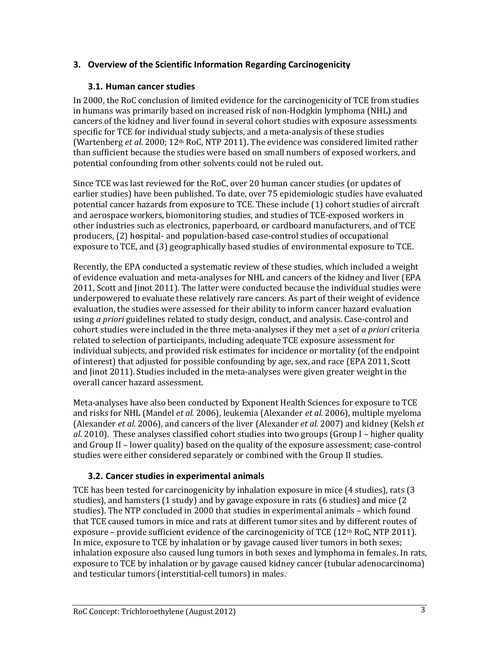# **3. Overview of the Scientific Information Regarding Carcinogenicity**

# **3.1. Human cancer studies**

In 2000, the RoC conclusion of limited evidence for the carcinogenicity of TCE from studies in humans was primarily based on increased risk of non-Hodgkin lymphoma (NHL) and cancers of the kidney and liver found in several cohort studies with exposure assessments specific for TCE for individual study subjects, and a meta-analysis of these studies (Wartenberg *et al*. 2000; 12th RoC, NTP 2011). The evidence was considered limited rather than sufficient because the studies were based on small numbers of exposed workers, and potential confounding from other solvents could not be ruled out.

Since TCE was last reviewed for the RoC, over 20 human cancer studies (or updates of earlier studies) have been published. To date, over 75 epidemiologic studies have evaluated potential cancer hazards from exposure to TCE. These include (1) cohort studies of aircraft and aerospace workers, biomonitoring studies, and studies of TCE-exposed workers in other industries such as electronics, paperboard, or cardboard manufacturers, and of TCE producers, (2) hospital- and population-based case-control studies of occupational exposure to TCE, and (3) geographically based studies of environmental exposure to TCE.

Recently, the EPA conducted a systematic review of these studies, which included a weight of evidence evaluation and meta-analyses for NHL and cancers of the kidney and liver (EPA 2011, Scott and Jinot 2011). The latter were conducted because the individual studies were underpowered to evaluate these relatively rare cancers. As part of their weight of evidence evaluation, the studies were assessed for their ability to inform cancer hazard evaluation using *a priori* guidelines related to study design, conduct, and analysis. Case-control and cohort studies were included in the three meta-analyses if they met a set of *a priori* criteria related to selection of participants, including adequate TCE exposure assessment for individual subjects, and provided risk estimates for incidence or mortality (of the endpoint of interest) that adjusted for possible confounding by age, sex, and race (EPA 2011, Scott and Jinot 2011). Studies included in the meta-analyses were given greater weight in the overall cancer hazard assessment.

Meta-analyses have also been conducted by Exponent Health Sciences for exposure to TCE and risks for NHL (Mandel *et al.* 2006), leukemia (Alexander *et al.* 2006), multiple myeloma (Alexander *et al.* 2006), and cancers of the liver (Alexander *et al.* 2007) and kidney (Kelsh *et al*. 2010). These analyses classified cohort studies into two groups (Group I – higher quality and Group II – lower quality) based on the quality of the exposure assessment; case-control studies were either considered separately or combined with the Group II studies.

# **3.2. Cancer studies in experimental animals**

TCE has been tested for carcinogenicity by inhalation exposure in mice (4 studies), rats (3 studies), and hamsters (1 study) and by gavage exposure in rats (6 studies) and mice (2 studies). The NTP concluded in 2000 that studies in experimental animals – which found that TCE caused tumors in mice and rats at different tumor sites and by different routes of exposure – provide sufficient evidence of the carcinogenicity of TCE  $(12<sup>th</sup>$  RoC, NTP 2011). In mice, exposure to TCE by inhalation or by gavage caused liver tumors in both sexes; inhalation exposure also caused lung tumors in both sexes and lymphoma in females. In rats, exposure to TCE by inhalation or by gavage caused kidney cancer (tubular adenocarcinoma) and testicular tumors (interstitial-cell tumors) in males.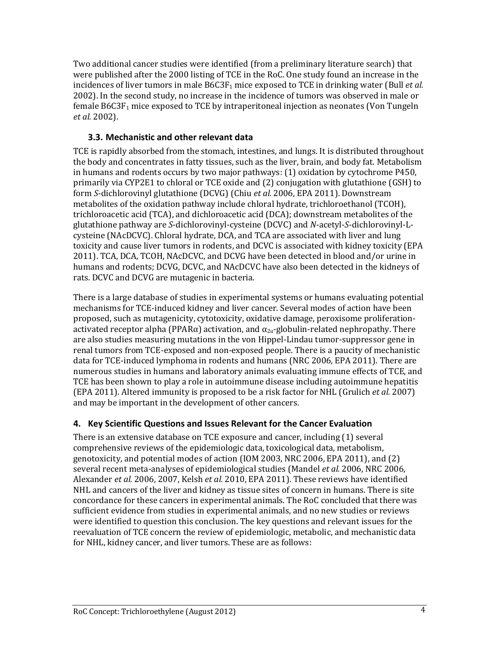Two additional cancer studies were identified (from a preliminary literature search) that were published after the 2000 listing of TCE in the RoC. One study found an increase in the incidences of liver tumors in male B6C3F<sub>1</sub> mice exposed to TCE in drinking water (Bull *et al.* 2002). In the second study, no increase in the incidence of tumors was observed in male or female  $B6C3F<sub>1</sub>$  mice exposed to TCE by intraperitoneal injection as neonates (Von Tungeln *et al.* 2002).

# **3.3. Mechanistic and other relevant data**

TCE is rapidly absorbed from the stomach, intestines, and lungs. It is distributed throughout the body and concentrates in fatty tissues, such as the liver, brain, and body fat. Metabolism in humans and rodents occurs by two major pathways: (1) oxidation by cytochrome P450, primarily via CYP2E1 to chloral or TCE oxide and (2) conjugation with glutathione (GSH) to form *S*-dichlorovinyl glutathione (DCVG) (Chiu *et al.* [2006,](#page-7-2) [EPA 2011\)](#page-8-1). Downstream metabolites of the oxidation pathway include chloral hydrate, trichloroethanol (TCOH), trichloroacetic acid (TCA), and dichloroacetic acid (DCA); downstream metabolites of the glutathione pathway are *S*-dichlorovinyl-cysteine (DCVC) and *N*-acetyl-*S*-dichlorovinyl-Lcysteine (NAcDCVC). Chloral hydrate, DCA, and TCA are associated with liver and lung toxicity and cause liver tumors in rodents, and DCVC is associated with kidney toxicity (EPA 2011). TCA, DCA, TCOH, NAcDCVC, and DCVG have been detected in blood and/or urine in humans and rodents; DCVG, DCVC, and NAcDCVC have also been detected in the kidneys of rats. DCVC and DCVG are mutagenic in bacteria.

There is a large database of studies in experimental systems or humans evaluating potential mechanisms for TCE-induced kidney and liver cancer. Several modes of action have been proposed, such as mutagenicity, cytotoxicity, oxidative damage, peroxisome proliferationactivated receptor alpha (PPAR $\alpha$ ) activation, and  $\alpha_{2u}$ -globulin-related nephropathy. There are also studies measuring mutations in the von Hippel-Lindau tumor-suppressor gene in renal tumors from TCE-exposed and non-exposed people. There is a paucity of mechanistic data for TCE-induced lymphoma in rodents and humans (NRC 2006, EPA 2011). There are numerous studies in humans and laboratory animals evaluating immune effects of TCE, and TCE has been shown to play a role in autoimmune disease including autoimmune hepatitis (EPA 2011). Altered immunity is proposed to be a risk factor for NHL (Grulich *et al.* 2007) and may be important in the development of other cancers.

# **4. Key Scientific Questions and Issues Relevant for the Cancer Evaluation**

There is an extensive database on TCE exposure and cancer, including (1) several comprehensive reviews of the epidemiologic data, toxicological data, metabolism, genotoxicity, and potential modes of action (IOM 2003, NRC 2006, EPA 2011), and (2) several recent meta-analyses of epidemiological studies (Mandel *et al.* 2006, NRC 2006, Alexander *et al.* 2006, 2007, Kelsh *et al.* 2010, EPA 2011). These reviews have identified NHL and cancers of the liver and kidney as tissue sites of concern in humans. There is site concordance for these cancers in experimental animals. The RoC concluded that there was sufficient evidence from studies in experimental animals, and no new studies or reviews were identified to question this conclusion. The key questions and relevant issues for the reevaluation of TCE concern the review of epidemiologic, metabolic, and mechanistic data for NHL, kidney cancer, and liver tumors. These are as follows: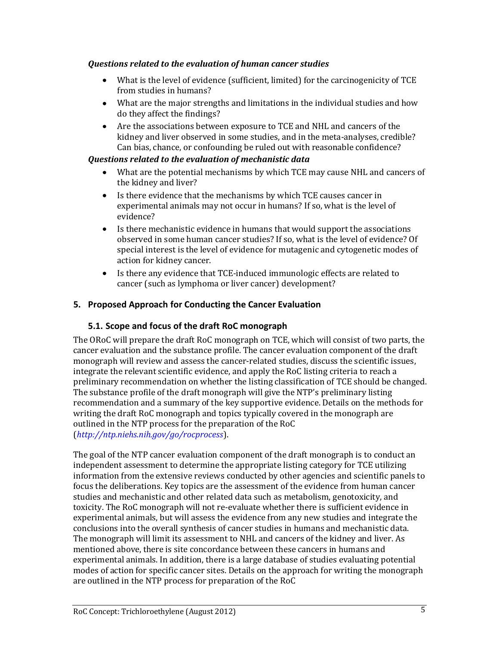#### *Questions related to the evaluation of human cancer studies*

- What is the level of evidence (sufficient, limited) for the carcinogenicity of TCE from studies in humans?
- What are the major strengths and limitations in the individual studies and how do they affect the findings?
- Are the associations between exposure to TCE and NHL and cancers of the kidney and liver observed in some studies, and in the meta-analyses, credible? Can bias, chance, or confounding be ruled out with reasonable confidence?

#### *Questions related to the evaluation of mechanistic data*

- What are the potential mechanisms by which TCE may cause NHL and cancers of the kidney and liver?
- $\bullet$ Is there evidence that the mechanisms by which TCE causes cancer in experimental animals may not occur in humans? If so, what is the level of evidence?
- $\bullet$ Is there mechanistic evidence in humans that would support the associations observed in some human cancer studies? If so, what is the level of evidence? Of special interest is the level of evidence for mutagenic and cytogenetic modes of action for kidney cancer.
- Is there any evidence that TCE-induced immunologic effects are related to  $\bullet$ cancer (such as lymphoma or liver cancer) development?

# **5. Proposed Approach for Conducting the Cancer Evaluation**

## **5.1. Scope and focus of the draft RoC monograph**

The ORoC will prepare the draft RoC monograph on TCE, which will consist of two parts, the cancer evaluation and the substance profile. The cancer evaluation component of the draft monograph will review and assess the cancer-related studies, discuss the scientific issues, integrate the relevant scientific evidence, and apply the RoC listing criteria to reach a preliminary recommendation on whether the listing classification of TCE should be changed. The substance profile of the draft monograph will give the NTP's preliminary listing recommendation and a summary of the key supportive evidence. Details on the methods for writing the draft RoC monograph and topics typically covered in the monograph are outlined in the NTP process for the preparation of the RoC (*<http://ntp.niehs.nih.gov/go/rocprocess>*).

The goal of the NTP cancer evaluation component of the draft monograph is to conduct an independent assessment to determine the appropriate listing category for TCE utilizing information from the extensive reviews conducted by other agencies and scientific panels to focus the deliberations. Key topics are the assessment of the evidence from human cancer studies and mechanistic and other related data such as metabolism, genotoxicity, and toxicity. The RoC monograph will not re-evaluate whether there is sufficient evidence in experimental animals, but will assess the evidence from any new studies and integrate the conclusions into the overall synthesis of cancer studies in humans and mechanistic data. The monograph will limit its assessment to NHL and cancers of the kidney and liver. As mentioned above, there is site concordance between these cancers in humans and experimental animals. In addition, there is a large database of studies evaluating potential modes of action for specific cancer sites. Details on the approach for writing the monograph are outlined in the NTP process for preparation of the RoC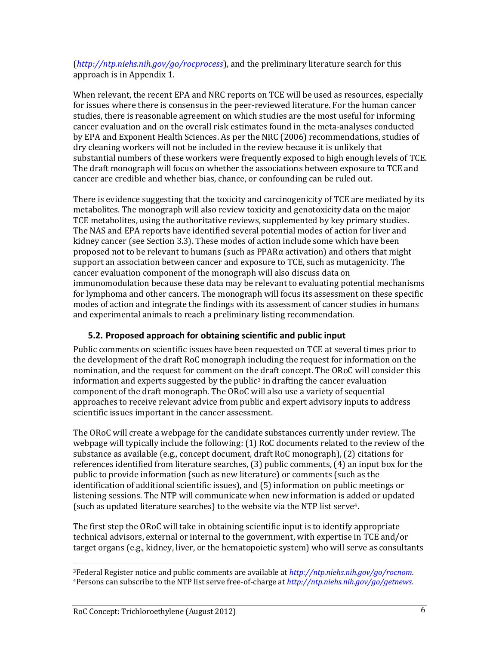(*<http://ntp.niehs.nih.gov/go/rocprocess>*), and the preliminary literature search for this approach is in Appendix 1.

When relevant, the recent EPA and NRC reports on TCE will be used as resources, especially for issues where there is consensus in the peer-reviewed literature. For the human cancer studies, there is reasonable agreement on which studies are the most useful for informing cancer evaluation and on the overall risk estimates found in the meta-analyses conducted by EPA and Exponent Health Sciences. As per the NRC (2006) recommendations, studies of dry cleaning workers will not be included in the review because it is unlikely that substantial numbers of these workers were frequently exposed to high enough levels of TCE. The draft monograph will focus on whether the associations between exposure to TCE and cancer are credible and whether bias, chance, or confounding can be ruled out.

There is evidence suggesting that the toxicity and carcinogenicity of TCE are mediated by its metabolites. The monograph will also review toxicity and genotoxicity data on the major TCE metabolites, using the authoritative reviews, supplemented by key primary studies. The NAS and EPA reports have identified several potential modes of action for liver and kidney cancer (see Section 3.3). These modes of action include some which have been proposed not to be relevant to humans (such as PPARα activation) and others that might support an association between cancer and exposure to TCE, such as mutagenicity. The cancer evaluation component of the monograph will also discuss data on immunomodulation because these data may be relevant to evaluating potential mechanisms for lymphoma and other cancers. The monograph will focus its assessment on these specific modes of action and integrate the findings with its assessment of cancer studies in humans and experimental animals to reach a preliminary listing recommendation.

# **5.2. Proposed approach for obtaining scientific and public input**

Public comments on scientific issues have been requested on TCE at several times prior to the development of the draft RoC monograph including the request for information on the nomination, and the request for comment on the draft concept. The ORoC will consider this information and experts suggested by the public<sup>3</sup> in drafting the cancer evaluation component of the draft monograph. The ORoC will also use a variety of sequential approaches to receive relevant advice from public and expert advisory inputs to address scientific issues important in the cancer assessment.

The ORoC will create a webpage for the candidate substances currently under review. The webpage will typically include the following: (1) RoC documents related to the review of the substance as available (e.g., concept document, draft RoC monograph), (2) citations for references identified from literature searches, (3) public comments, (4) an input box for the public to provide information (such as new literature) or comments (such as the identification of additional scientific issues), and (5) information on public meetings or listening sessions. The NTP will communicate when new information is added or updated (such as updated literature searches) to the website via the NTP list serve<sup>4</sup>.

The first step the ORoC will take in obtaining scientific input is to identify appropriate technical advisors, external or internal to the government, with expertise in TCE and/or target organs (e.g., kidney, liver, or the hematopoietic system) who will serve as consultants

l <sup>3</sup>Federal Register notice and public comments are available at *[http://ntp.niehs.nih.gov/go/rocnom.](http://ntp.niehs.nih.gov/go/rocnom)* 4Persons can subscribe to the NTP list serve free-of-charge at *[http://ntp.niehs.nih.gov/go/getnews.](http://ntp.niehs.nih.gov/go/getnews)*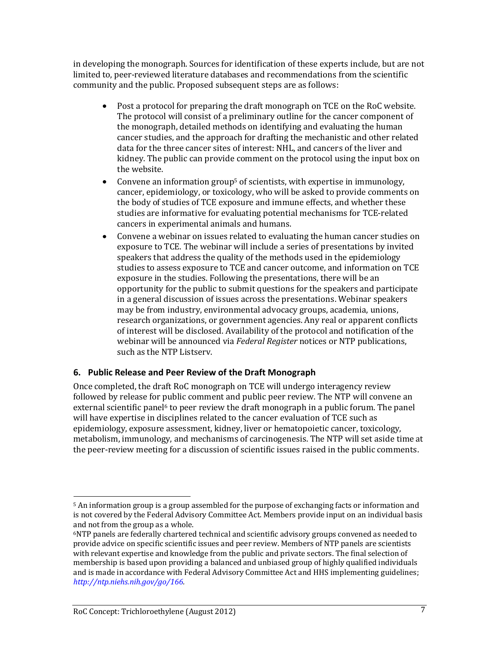in developing the monograph. Sources for identification of these experts include, but are not limited to, peer-reviewed literature databases and recommendations from the scientific community and the public. Proposed subsequent steps are as follows:

- $\bullet$ Post a protocol for preparing the draft monograph on TCE on the RoC website. The protocol will consist of a preliminary outline for the cancer component of the monograph, detailed methods on identifying and evaluating the human cancer studies, and the approach for drafting the mechanistic and other related data for the three cancer sites of interest: NHL, and cancers of the liver and kidney. The public can provide comment on the protocol using the input box on the website.
- Convene an information group<sup>5</sup> of scientists, with expertise in immunology,  $\bullet$ cancer, epidemiology, or toxicology, who will be asked to provide comments on the body of studies of TCE exposure and immune effects, and whether these studies are informative for evaluating potential mechanisms for TCE-related cancers in experimental animals and humans.
- $\bullet$ Convene a webinar on issues related to evaluating the human cancer studies on exposure to TCE. The webinar will include a series of presentations by invited speakers that address the quality of the methods used in the epidemiology studies to assess exposure to TCE and cancer outcome, and information on TCE exposure in the studies. Following the presentations, there will be an opportunity for the public to submit questions for the speakers and participate in a general discussion of issues across the presentations. Webinar speakers may be from industry, environmental advocacy groups, academia, unions, research organizations, or government agencies. Any real or apparent conflicts of interest will be disclosed. Availability of the protocol and notification of the webinar will be announced via *Federal Register* notices or NTP publications, such as the NTP Listserv.

#### **6. Public Release and Peer Review of the Draft Monograph**

Once completed, the draft RoC monograph on TCE will undergo interagency review followed by release for public comment and public peer review. The NTP will convene an external scientific panel<sup> $6$ </sup> to peer review the draft monograph in a public forum. The panel will have expertise in disciplines related to the cancer evaluation of TCE such as epidemiology, exposure assessment, kidney, liver or hematopoietic cancer, toxicology, metabolism, immunology, and mechanisms of carcinogenesis. The NTP will set aside time at the peer-review meeting for a discussion of scientific issues raised in the public comments.

l

<sup>&</sup>lt;sup>5</sup> An information group is a group assembled for the purpose of exchanging facts or information and is not covered by the Federal Advisory Committee Act. Members provide input on an individual basis and not from the group as a whole.

<sup>6</sup>NTP panels are federally chartered technical and scientific advisory groups convened as needed to provide advice on specific scientific issues and peer review. Members of NTP panels are scientists with relevant expertise and knowledge from the public and private sectors. The final selection of membership is based upon providing a balanced and unbiased group of highly qualified individuals and is made in accordance with Federal Advisory Committee Act and HHS implementing guidelines; *[http://ntp.niehs.nih.gov/go/166.](http://ntp.niehs.nih.gov/go/166)*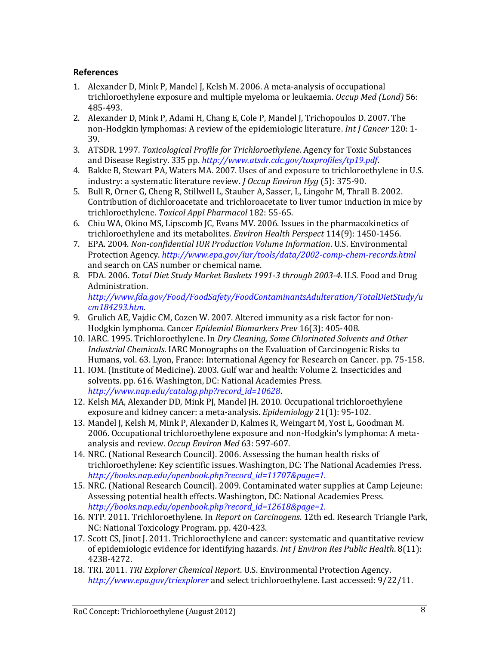#### **References**

- 1. Alexander D, Mink P, Mandel J, Kelsh M. 2006. A meta-analysis of occupational trichloroethylene exposure and multiple myeloma or leukaemia. *Occup Med (Lond)* 56: 485-493.
- 2. Alexander D, Mink P, Adami H, Chang E, Cole P, Mandel J, Trichopoulos D. 2007. The non-Hodgkin lymphomas: A review of the epidemiologic literature. *Int J Cancer* 120: 1- 39.
- 3. ATSDR. 1997. *Toxicological Profile for Trichloroethylene*. Agency for Toxic Substances and Disease Registry. 335 pp. *<http://www.atsdr.cdc.gov/toxprofiles/tp19.pdf>*.
- 4. Bakke B, Stewart PA, Waters MA. 2007. Uses of and exposure to trichloroethylene in U.S. industry: a systematic literature review. *J Occup Environ Hyg* (5): 375-90.
- 5. Bull R, Orner G, Cheng R, Stillwell L, Stauber A, Sasser, L, Lingohr M, Thrall B. 2002. Contribution of dichloroacetate and trichloroacetate to liver tumor induction in mice by trichloroethylene. *Toxicol Appl Pharmacol* 182: 55-65.
- <span id="page-7-2"></span>6. Chiu WA, Okino MS, Lipscomb JC, Evans MV. 2006. Issues in the pharmacokinetics of trichloroethylene and its metabolites. *Environ Health Perspect* 114(9): 1450-1456.
- <span id="page-7-0"></span>7. EPA. 2004. *Non-confidential IUR Production Volume Information*. U.S. Environmental Protection Agency. *<http://www.epa.gov/iur/tools/data/2002-comp-chem-records.html>* and search on CAS number or chemical name.
- <span id="page-7-1"></span>8. FDA. 2006. *Total Diet Study Market Baskets 1991-3 through 2003-4*. U.S. Food and Drug Administration. *[http://www.fda.gov/Food/FoodSafety/FoodContaminantsAdulteration/TotalDietStudy/u](http://www.fda.gov/Food/FoodSafety/FoodContaminantsAdulteration/TotalDietStudy/ucm184293.htm)*

*[cm184293.htm.](http://www.fda.gov/Food/FoodSafety/FoodContaminantsAdulteration/TotalDietStudy/ucm184293.htm)*

- 9. Grulich AE, Vajdic CM, Cozen W. 2007. Altered immunity as a risk factor for non-Hodgkin lymphoma. Cancer *Epidemiol Biomarkers Prev* 16(3): 405-408.
- 10. IARC. 1995. Trichloroethylene. In *Dry Cleaning, Some Chlorinated Solvents and Other Industrial Chemicals*. IARC Monographs on the Evaluation of Carcinogenic Risks to Humans, vol. 63. Lyon, France: International Agency for Research on Cancer. pp. 75-158.
- 11. IOM. (Institute of Medicine). 2003. Gulf war and health: Volume 2. Insecticides and solvents. pp. 616. Washington, DC: National Academies Press. *[http://www.nap.edu/catalog.php?record\\_id=10628](http://www.nap.edu/catalog.php?record_id=10628)*.
- 12. Kelsh MA, Alexander DD, Mink PJ, Mandel JH. 2010. Occupational trichloroethylene exposure and kidney cancer: a meta-analysis. *Epidemiology* 21(1): 95-102.
- 13. Mandel J, Kelsh M, Mink P, Alexander D, Kalmes R, Weingart M, Yost L, Goodman M. 2006. Occupational trichloroethylene exposure and non-Hodgkin's lymphoma: A metaanalysis and review. *Occup Environ Med* 63: 597-607.
- 14. NRC. (National Research Council). 2006. Assessing the human health risks of trichloroethylene: Key scientific issues. Washington, DC: The National Academies Press. *[http://books.nap.edu/openbook.php?record\\_id=11707&page=1.](http://books.nap.edu/openbook.php?record_id=11707&page=1)*
- 15. NRC. (National Research Council). 2009. Contaminated water supplies at Camp Lejeune: Assessing potential health effects. Washington, DC: National Academies Press. *[http://books.nap.edu/openbook.php?record\\_id=12618&page=1.](http://books.nap.edu/openbook.php?record_id=12618&page=1)*
- 16. NTP. 2011. Trichloroethylene. In *Report on Carcinogens*. 12th ed. Research Triangle Park, NC: National Toxicology Program. pp. 420-423.
- 17. Scott CS, Jinot J. 2011. Trichloroethylene and cancer: systematic and quantitative review of epidemiologic evidence for identifying hazards. *Int J Environ Res Public Health*. 8(11): 4238-4272.
- 18. TRI. 2011. *TRI Explorer Chemical Report*. U.S. Environmental Protection Agency. *<http://www.epa.gov/triexplorer>* and select trichloroethylene. Last accessed: 9/22/11.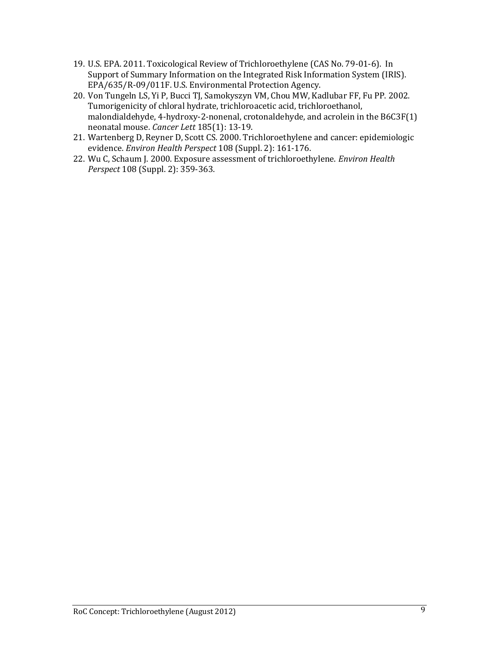- <span id="page-8-1"></span>19. U.S. EPA. 2011. Toxicological Review of Trichloroethylene (CAS No. 79-01-6). In Support of Summary Information on the Integrated Risk Information System (IRIS). EPA/635/R-09/011F. U.S. Environmental Protection Agency.
- 20. Von Tungeln LS, Yi P, Bucci TJ, Samokyszyn VM, Chou MW, Kadlubar FF, Fu PP. 2002. Tumorigenicity of chloral hydrate, trichloroacetic acid, trichloroethanol, malondialdehyde, 4-hydroxy-2-nonenal, crotonaldehyde, and acrolein in the B6C3F(1) neonatal mouse*. Cancer Lett* 185(1): 13-19.
- 21. Wartenberg D, Reyner D, Scott CS. 2000. Trichloroethylene and cancer: epidemiologic evidence. *Environ Health Perspect* 108 (Suppl. 2): 161-176.
- <span id="page-8-0"></span>22. Wu C, Schaum J. 2000. Exposure assessment of trichloroethylene. *Environ Health Perspect* 108 (Suppl. 2): 359-363.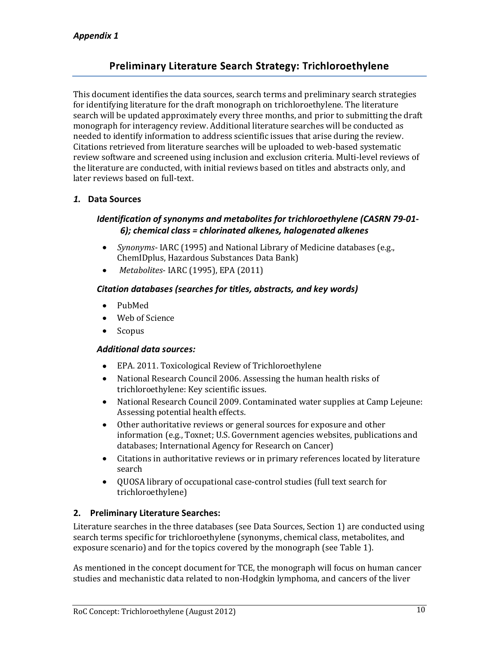# Preliminary Literature Search Strategy: Trichloroethylene

This document identifies the data sources, search terms and preliminary search strategies for identifying literature for the draft monograph on trichloroethylene. The literature search will be updated approximately every three months, and prior to submitting the draft monograph for interagency review. Additional literature searches will be conducted as needed to identify information to address scientific issues that arise during the review. Citations retrieved from literature searches will be uploaded to web-based systematic review software and screened using inclusion and exclusion criteria. Multi-level reviews of the literature are conducted, with initial reviews based on titles and abstracts only, and later reviews based on full-text.

#### *1.* **Data Sources**

## *Identification of synonyms and metabolites for trichloroethylene (CASRN 79-01- 6); chemical class = chlorinated alkenes, halogenated alkenes*

- *Synonyms* IARC (1995) and National Library of Medicine databases (e.g.,  $\bullet$ ChemIDplus, Hazardous Substances Data Bank)
- *Metabolites* IARC (1995), EPA (2011)  $\bullet$

#### *Citation databases (searches for titles, abstracts, and key words)*

- $\bullet$ PubMed
- Web of Science
- Scopus  $\bullet$

#### *Additional data sources:*

- EPA. 2011. Toxicological Review of Trichloroethylene
- National Research Council 2006. Assessing the human health risks of  $\bullet$ trichloroethylene: Key scientific issues.
- $\bullet$ National Research Council 2009. Contaminated water supplies at Camp Lejeune: Assessing potential health effects.
- $\bullet$ Other authoritative reviews or general sources for exposure and other information (e.g., Toxnet; U.S. Government agencies websites, publications and databases; International Agency for Research on Cancer)
- Citations in authoritative reviews or in primary references located by literature  $\bullet$ search
- QUOSA library of occupational case-control studies (full text search for  $\bullet$ trichloroethylene)

#### **2. Preliminary Literature Searches:**

Literature searches in the three databases (see Data Sources, Section 1) are conducted using search terms specific for trichloroethylene (synonyms, chemical class, metabolites, and exposure scenario) and for the topics covered by the monograph (see Table 1).

As mentioned in the concept document for TCE, the monograph will focus on human cancer studies and mechanistic data related to non-Hodgkin lymphoma, and cancers of the liver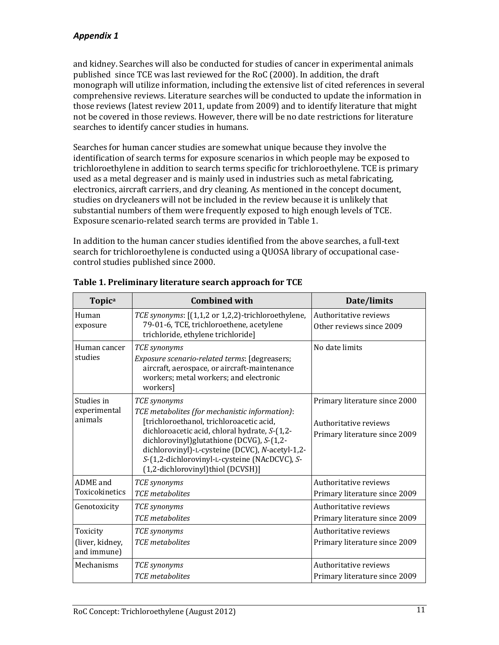# *Appendix 1*

and kidney. Searches will also be conducted for studies of cancer in experimental animals published since TCE was last reviewed for the RoC (2000). In addition, the draft monograph will utilize information, including the extensive list of cited references in several comprehensive reviews. Literature searches will be conducted to update the information in those reviews (latest review 2011, update from 2009) and to identify literature that might not be covered in those reviews. However, there will be no date restrictions for literature searches to identify cancer studies in humans.

Searches for human cancer studies are somewhat unique because they involve the identification of search terms for exposure scenarios in which people may be exposed to trichloroethylene in addition to search terms specific for trichloroethylene. TCE is primary used as a metal degreaser and is mainly used in industries such as metal fabricating, electronics, aircraft carriers, and dry cleaning. As mentioned in the concept document, studies on drycleaners will not be included in the review because it is unlikely that substantial numbers of them were frequently exposed to high enough levels of TCE. Exposure scenario-related search terms are provided in Table 1.

In addition to the human cancer studies identified from the above searches, a full-text search for trichloroethylene is conducted using a QUOSA library of occupational casecontrol studies published since 2000.

| Topica                                     | <b>Combined with</b>                                                                                                                                                                                                                                                                                                                              | Date/limits                                                                             |
|--------------------------------------------|---------------------------------------------------------------------------------------------------------------------------------------------------------------------------------------------------------------------------------------------------------------------------------------------------------------------------------------------------|-----------------------------------------------------------------------------------------|
| Human<br>exposure                          | TCE synonyms: [(1,1,2 or 1,2,2)-trichloroethylene,<br>79-01-6, TCE, trichloroethene, acetylene<br>trichloride, ethylene trichloride]                                                                                                                                                                                                              | Authoritative reviews<br>Other reviews since 2009                                       |
| Human cancer<br>studies                    | TCE synonyms<br>Exposure scenario-related terms: [degreasers;<br>aircraft, aerospace, or aircraft-maintenance<br>workers; metal workers; and electronic<br>workers]                                                                                                                                                                               | No date limits                                                                          |
| Studies in<br>experimental<br>animals      | TCE synonyms<br>TCE metabolites (for mechanistic information):<br>[trichloroethanol, trichloroacetic acid,<br>dichloroacetic acid, chloral hydrate, S-(1,2-<br>dichlorovinyl)glutathione (DCVG), S-(1,2-<br>dichlorovinyl)-L-cysteine (DCVC), N-acetyl-1,2-<br>S-(1,2-dichlorovinyl-L-cysteine (NAcDCVC), S-<br>(1,2-dichlorovinyl)thiol (DCVSH)] | Primary literature since 2000<br>Authoritative reviews<br>Primary literature since 2009 |
| ADME and<br>Toxicokinetics                 | TCE synonyms<br><b>TCE</b> metabolites                                                                                                                                                                                                                                                                                                            | Authoritative reviews<br>Primary literature since 2009                                  |
| Genotoxicity                               | TCE synonyms<br><b>TCE</b> metabolites                                                                                                                                                                                                                                                                                                            | Authoritative reviews<br>Primary literature since 2009                                  |
| Toxicity<br>(liver, kidney,<br>and immune) | TCE synonyms<br><b>TCE</b> metabolites                                                                                                                                                                                                                                                                                                            | Authoritative reviews<br>Primary literature since 2009                                  |
| Mechanisms                                 | TCE synonyms<br><b>TCE</b> metabolites                                                                                                                                                                                                                                                                                                            | Authoritative reviews<br>Primary literature since 2009                                  |

# **Table 1. Preliminary literature search approach for TCE**